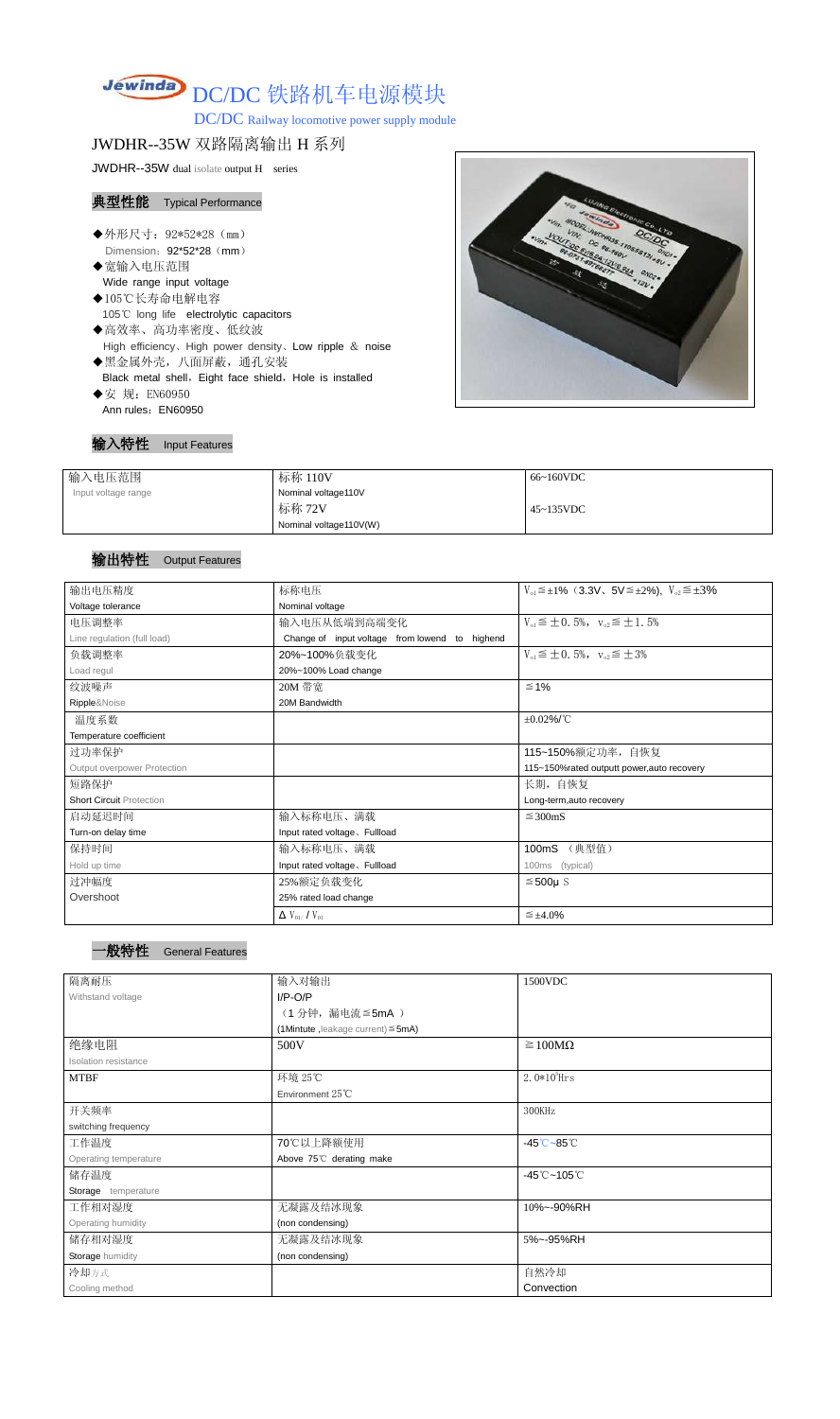# Jewinda DC/DC 铁路机车电源模块

DC/DC Railway locomotive power supply module

## JWDHR--35W 双路隔离输出 H 系列

JWDHR--35W dual isolate output H series

#### 典型性能 Typical Performance

- ◆外形尺寸: 92\*52\*28 (mm) Dimension: 92\*52\*28 (mm)
- ◆宽输入电压范围 Wide range input voltage
- ◆105℃长寿命电解电容 105℃ long life electrolytic capacitors
- ◆高效率、高功率密度、低纹波 High efficiency、High power density、Low ripple & noise ◆黑金属外壳,八面屏蔽,通孔安装
- Black metal shell, Eight face shield, Hole is installed
- ◆安 规: EN60950 Ann rules: EN60950



| 输入特性 | <b>Input Features</b> |
|------|-----------------------|
|------|-----------------------|

| 输入电压范围              | 标称 110V                | 66~160VDC |
|---------------------|------------------------|-----------|
| Input voltage range | Nominal voltage110V    |           |
|                     | 标称 72V                 | 45~135VDC |
|                     | Nominal voltage110V(W) |           |

#### 输出特性 Output Features

一般特性 General Features

| 输出电压精度                          | 标称电压                                           | $V_{0.1} \leq \pm 1\%$ (3.3V, 5V $\leq \pm 2\%$ ), $V_{0.2} \leq \pm 3\%$ |  |
|---------------------------------|------------------------------------------------|---------------------------------------------------------------------------|--|
| Voltage tolerance               | Nominal voltage                                |                                                                           |  |
| 电压调整率                           | 输入电压从低端到高端变化                                   | $V_{01} \leq \pm 0.5\%$ , $V_{02} \leq \pm 1.5\%$                         |  |
| Line regulation (full load)     | Change of input voltage from lowend to highend |                                                                           |  |
| 负载调整率                           | 20%~100%负载变化                                   | $V_{01} \leq \pm 0.5\%$ , $V_{02} \leq \pm 3\%$                           |  |
| Load regul                      | 20%~100% Load change                           |                                                                           |  |
| 纹波噪声                            | 20M 带宽                                         | $≤ 1%$                                                                    |  |
| Ripple&Noise                    | 20M Bandwidth                                  |                                                                           |  |
| 温度系数                            |                                                | $\pm 0.02\%$ /°C                                                          |  |
| Temperature coefficient         |                                                |                                                                           |  |
| 过功率保护                           |                                                | 115~150%额定功率, 自恢复                                                         |  |
| Output overpower Protection     |                                                | 115~150%rated outputt power, auto recovery                                |  |
| 短路保护                            |                                                | 长期, 自恢复                                                                   |  |
| <b>Short Circuit Protection</b> |                                                | Long-term, auto recovery                                                  |  |
| 启动延迟时间                          | 输入标称电压、满载                                      | $\leq$ 300mS                                                              |  |
| Turn-on delay time              | Input rated voltage. Fullload                  |                                                                           |  |
| 保持时间                            | 输入标称电压、满载                                      | (典型值)<br>100mS                                                            |  |
| Hold up time                    | Input rated voltage, Fullload                  | 100ms (typical)                                                           |  |
| 过冲幅度                            | 25%额定负载变化                                      | $≤500µ$ S                                                                 |  |
| Overshoot                       | 25% rated load change                          |                                                                           |  |
|                                 | $\Delta$ V <sub>01</sub> /V <sub>01</sub>      | $\leq \pm 4.0\%$                                                          |  |

|  | ----- |
|--|-------|
|  |       |
|  |       |

| 隔离耐压                        | 输入对输出                                   | 1500VDC                                    |
|-----------------------------|-----------------------------------------|--------------------------------------------|
| Withstand voltage           | $I/P-O/P$                               |                                            |
|                             | (1分钟,漏电流≦5mA)                           |                                            |
|                             | (1Mintute, leakage current) $\leq$ 5mA) |                                            |
| 绝缘电阻                        | 500V                                    | $\geq 100M\Omega$                          |
| <b>Isolation resistance</b> |                                         |                                            |
| <b>MTBF</b>                 | 环境 25℃                                  | $2.0*105$ Hrs                              |
|                             | Environment $25^{\circ}$ C              |                                            |
| 开关频率                        |                                         | 300KHz                                     |
| switching frequency         |                                         |                                            |
| 工作温度                        | 70℃以上降额使用                               | $-45^{\circ}\text{C} - 85^{\circ}\text{C}$ |
| Operating temperature       | Above 75°C derating make                |                                            |
| 储存温度                        |                                         | $-45^{\circ}$ C ~105 $^{\circ}$ C          |
| Storage temperature         |                                         |                                            |
| 工作相对湿度                      | 无凝露及结冰现象                                | 10%~-90%RH                                 |
| Operating humidity          | (non condensing)                        |                                            |
| 储存相对湿度                      | 无凝露及结冰现象                                | 5%~-95%RH                                  |
| <b>Storage humidity</b>     | (non condensing)                        |                                            |
| 冷却方式                        |                                         | 自然冷却                                       |
| Cooling method              |                                         | Convection                                 |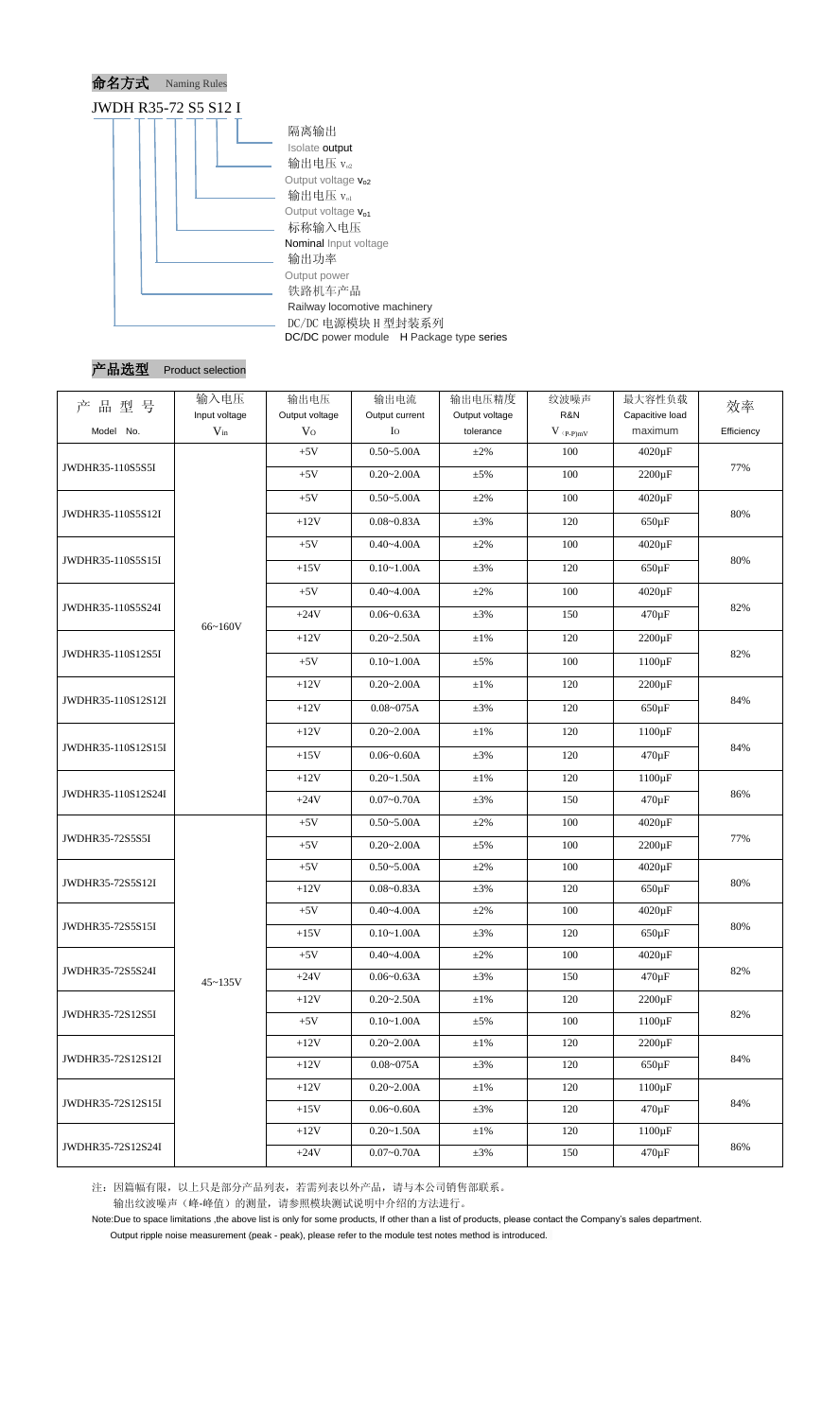



| 品型号<br>产           | 输入电压<br>Input voltage | 输出电压<br>Output voltage | 输出电流<br>Output current | 输出电压精度<br>Output voltage | 纹波噪声<br>R&N                   | 最大容性负载<br>Capacitive load | 效率         |  |
|--------------------|-----------------------|------------------------|------------------------|--------------------------|-------------------------------|---------------------------|------------|--|
| Model No.          | $V_{in}$              | V <sub>O</sub>         | $I_{\rm O}$            | tolerance                | $V$ $\mathrm{(p\text{-}p)mV}$ | maximum                   | Efficiency |  |
| JWDHR35-110S5S5I   |                       | $+5V$                  | $0.50 - 5.00A$         | $\pm 2\%$                | 100                           | $4020 \,\mathrm{\upmu F}$ |            |  |
|                    |                       | $+5V$                  | $0.20 - 2.00A$         | $\pm$ 5%                 | 100                           | $2200 \,\mathrm{\upmu F}$ | 77%        |  |
|                    |                       | $+5V$                  | $0.50 - 5.00A$         | $\pm 2\%$                | 100                           | $4020 \,\mathrm{\upmu F}$ |            |  |
| JWDHR35-110S5S12I  |                       | $+12V$                 | $0.08 - 0.83A$         | $\pm 3\%$                | 120                           | $650 \,\mathrm{\upmu F}$  | 80%        |  |
|                    |                       | $+5V$                  | $0.40 - 4.00A$         | $\pm 2\%$                | 100                           | 4020 µF                   | 80%        |  |
| JWDHR35-110S5S15I  |                       | $+15V$                 | $0.10 - 1.00A$         | $\pm 3\%$                | 120                           | $650 \,\mathrm{\upmu F}$  |            |  |
|                    |                       | $+5V$                  | $0.40 - 4.00A$         | $\pm 2\%$                | 100                           | 4020 µF                   |            |  |
| JWDHR35-110S5S24I  | 66~160V               | $+24V$                 | $0.06 - 0.63A$         | $\pm 3\%$                | 150                           | $470 \,\mathrm{\upmu F}$  | 82%        |  |
|                    |                       | $+12V$                 | $0.20 - 2.50A$         | $\pm 1\%$                | 120                           | $2200 \,\mathrm{\upmu F}$ |            |  |
| JWDHR35-110S12S5I  |                       | $+5V$                  | $0.10 - 1.00A$         | $\pm 5\%$                | 100                           | $1100 \,\mathrm{\upmu F}$ | 82%        |  |
|                    |                       | $+12V$                 | $0.20 - 2.00A$         | $±1\%$                   | 120                           | $2200 \,\mathrm{\upmu F}$ |            |  |
| JWDHR35-110S12S12I |                       | $+12V$                 | $0.08 - 075A$          | $\pm 3\%$                | 120                           | $650 \,\mathrm{\upmu F}$  | 84%        |  |
|                    |                       | $+12V$                 | $0.20 - 2.00A$         | $\pm 1\%$                | 120                           | $1100 \,\mathrm{\upmu F}$ | 84%        |  |
| JWDHR35-110S12S15I |                       | $+15V$                 | $0.06 - 0.60A$         | $\pm 3\%$                | 120                           | $470 \,\mathrm{\upmu F}$  |            |  |
|                    |                       | $+12V$                 | $0.20 - 1.50A$         | $\pm 1\%$                | 120                           | $1100 \,\mathrm{\upmu F}$ |            |  |
| JWDHR35-110S12S24I |                       | $+24V$                 | $0.07 - 0.70A$         | $\pm 3\%$                | 150                           | $470 \,\mathrm{\upmu F}$  | 86%        |  |
| JWDHR35-72S5S5I    |                       | $+5V$                  | $0.50 - 5.00A$         | $\pm 2\%$                | 100                           | $4020 \,\mathrm{\upmu F}$ |            |  |
|                    |                       | $+5V$                  | $0.20 - 2.00A$         | $\pm 5\%$                | 100                           | $2200 \,\mathrm{\upmu F}$ | 77%        |  |
|                    | $45 - 135V$           | $+5V$                  | $0.50 - 5.00A$         | $\pm 2\%$                | 100                           | $4020 \,\mathrm{\upmu F}$ |            |  |
| JWDHR35-72S5S12I   |                       | $+12V$                 | $0.08 - 0.83A$         | $\pm 3\%$                | 120                           | $650 \,\mathrm{\upmu F}$  | 80%        |  |
|                    |                       | $+5V$                  | $0.40 - 4.00A$         | $\pm 2\%$                | 100                           | $4020 \,\mathrm{\upmu F}$ |            |  |
| JWDHR35-72S5S15I   |                       | $+15V$                 | $0.10 - 1.00A$         | $\pm 3\%$                | 120                           | $650 \,\mathrm{\upmu F}$  | 80%        |  |
|                    |                       | $+5V$                  | $0.40 - 4.00A$         | $\pm 2\%$                | 100                           | $4020 \,\mathrm{\upmu F}$ |            |  |
| JWDHR35-72S5S24I   |                       | $+24V$                 | $0.06 - 0.63A$         | $\pm 3\%$                | 150                           | $470 \,\mathrm{\upmu F}$  | 82%        |  |
| JWDHR35-72S12S5I   |                       | $+12V$                 | $0.20 - 2.50A$         | $\pm 1\%$                | 120                           | $2200 \,\mathrm{\upmu F}$ |            |  |
|                    |                       | $+5V$                  | $0.10 - 1.00A$         | $\pm$ 5%                 | 100                           | $1100 \,\mathrm{\upmu F}$ | 82%        |  |
| JWDHR35-72S12S12I  |                       | $+12V$                 | $0.20 - 2.00A$         | $\pm 1\%$                | 120                           | $2200 \,\mathrm{\upmu F}$ |            |  |
|                    |                       | $+12V$                 | $0.08 - 075A$          | $\pm 3\%$                | 120                           | $650 \,\mathrm{\upmu F}$  | 84%        |  |
|                    |                       | $+12V$                 | $0.20 - 2.00A$         | $\pm 1\%$                | 120                           | $1100 \,\mathrm{\upmu F}$ | 84%        |  |
| JWDHR35-72S12S15I  |                       | $+15V$                 | $0.06 - 0.60A$         | $\pm 3\%$                | 120                           | $470 \,\mathrm{\upmu F}$  |            |  |
|                    |                       | $+12V$                 | $0.20 - 1.50A$         | $\pm 1\%$                | 120                           | $1100 \,\mathrm{\upmu F}$ |            |  |
| JWDHR35-72S12S24I  |                       | $+24V$                 | $0.07 - 0.70A$         | $\pm 3\%$                | 150                           | $470 \,\mathrm{\upmu F}$  | 86%        |  |

注:因篇幅有限,以上只是部分产品列表,若需列表以外产品,请与本公司销售部联系。

输出纹波噪声(峰-峰值)的测量,请参照模块测试说明中介绍的方法进行。

Note:Due to space limitations ,the above list is only for some products, If other than a list of products, please contact the Company's sales department.

Output ripple noise measurement (peak - peak), please refer to the module test notes method is introduced.